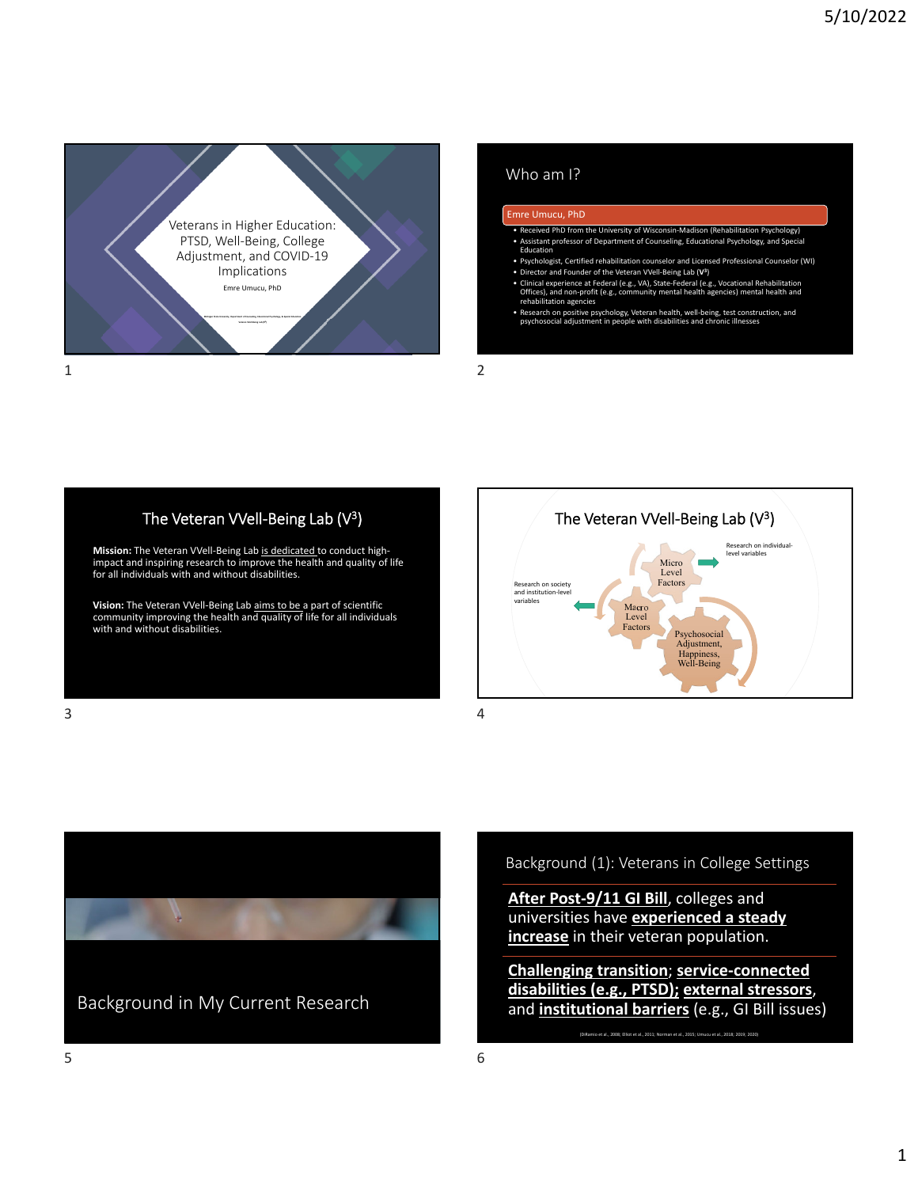

### Who am I?

### Emre Umucu, PhD

- Received PhD from the University of Wisconsin‐Madison (Rehabilitation Psychology) • Assistant professor of Department of Counseling, Educational Psychology, and Special Education
- Psychologist, Certified rehabilitation counselor and Licensed Professional Counselor (WI)
- Director and Founder of the Veteran VVell-Being Lab (V<sup>3</sup>)<br>• Clinical experience at Federal (e.g., VA), State-Federal (e.g., Vocational Rehabilitation<br>Offices), and non-profit (e.g., community mental health agencies) me
- Research on positive psychology, Veteran health, well‐being, test construction, and psychosocial adjustment in people with disabilities and chronic illnesses

## The Veteran VVell-Being Lab (V<sup>3</sup>)

Mission: The Veteran VVell-Being Lab is dedicated to conduct highimpact and inspiring research to improve the health and quality of life for all individuals with and without disabilities.

Vision: The Veteran VVell-Being Lab aims to be a part of scientific community improving the health and quality of life for all individuals with and without disabilities.





Background (1): Veterans in College Settings

**After Post‐9/11 GI Bill**, colleges and universities have **experienced a steady increase** in their veteran population.

**Challenging transition**; **service‐connected disabilities (e.g., PTSD); external stressors**, and **institutional barriers** (e.g., GI Bill issues)

(DiRamio et al., 2008; Elliot et al., 2011; Norman et al., 2015; Umucu et al., 2018; 2019; 2020)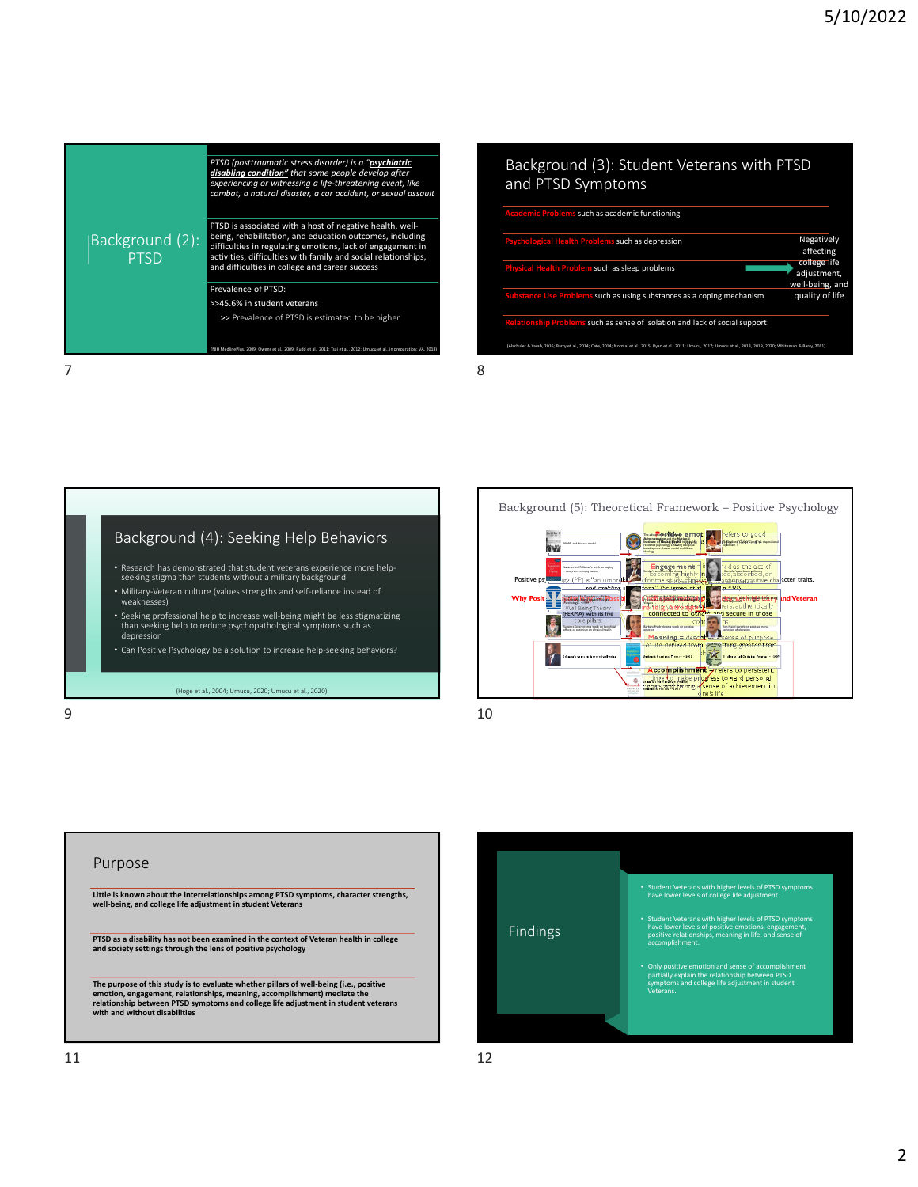|                                | PTSD (posttraumatic stress disorder) is a " <b>psychiatric</b><br>disabling condition" that some people develop after<br>experiencing or witnessing a life-threatening event, like<br>combat, a natural disaster, a car accident, or sexual assault                                                    |
|--------------------------------|--------------------------------------------------------------------------------------------------------------------------------------------------------------------------------------------------------------------------------------------------------------------------------------------------------|
| Background (2):<br><b>PTSD</b> | PTSD is associated with a host of negative health, well-<br>being, rehabilitation, and education outcomes, including<br>difficulties in regulating emotions, lack of engagement in<br>activities, difficulties with family and social relationships,<br>and difficulties in college and career success |
|                                | Prevalence of PTSD:                                                                                                                                                                                                                                                                                    |
|                                | >>45.6% in student veterans                                                                                                                                                                                                                                                                            |
|                                | >> Prevalence of PTSD is estimated to be higher                                                                                                                                                                                                                                                        |
|                                | (NIH MedlinePlus, 2009: Owens et al., 2009: Rudd et al., 2011: Tsai et al., 2012: Umucu et al., in preparation: VA, 2018)                                                                                                                                                                              |

#### Background (3): Student Veterans with PTSD and PTSD Symptoms such as academic functioning **Psychological Health Problems** such as depression **Physical Health Problem** such as sleep problems **Substancesed** Substances as a coping mechanism **Relationship Problems** such as sense of isolation and lack of social support Negatively affecting college life adjustment, well‐being, and quality of life

.<br>ab, 2016; Barry et al., 2014; Cate, 2014; Normal et al., 2015; Ryan et al., 2011; Umucu, 2017; Umucu et al., 2018, 2019, 2020





Purpose Little is known about the interrelationships among PTSD symptoms, character strengths,<br>well-being, and college life adjustment in student Veterans **PTSD as a disability has not been examined in the context of Veteran health in college and society settings through the lens of positive psychology** The purpose of this study is to evaluate whether pillars of well-being (i.e., positive<br>emotion, engagement, relationships, meaning, accomplishment) mediate the<br>relationship between PTSD symptoms and college life adjustment

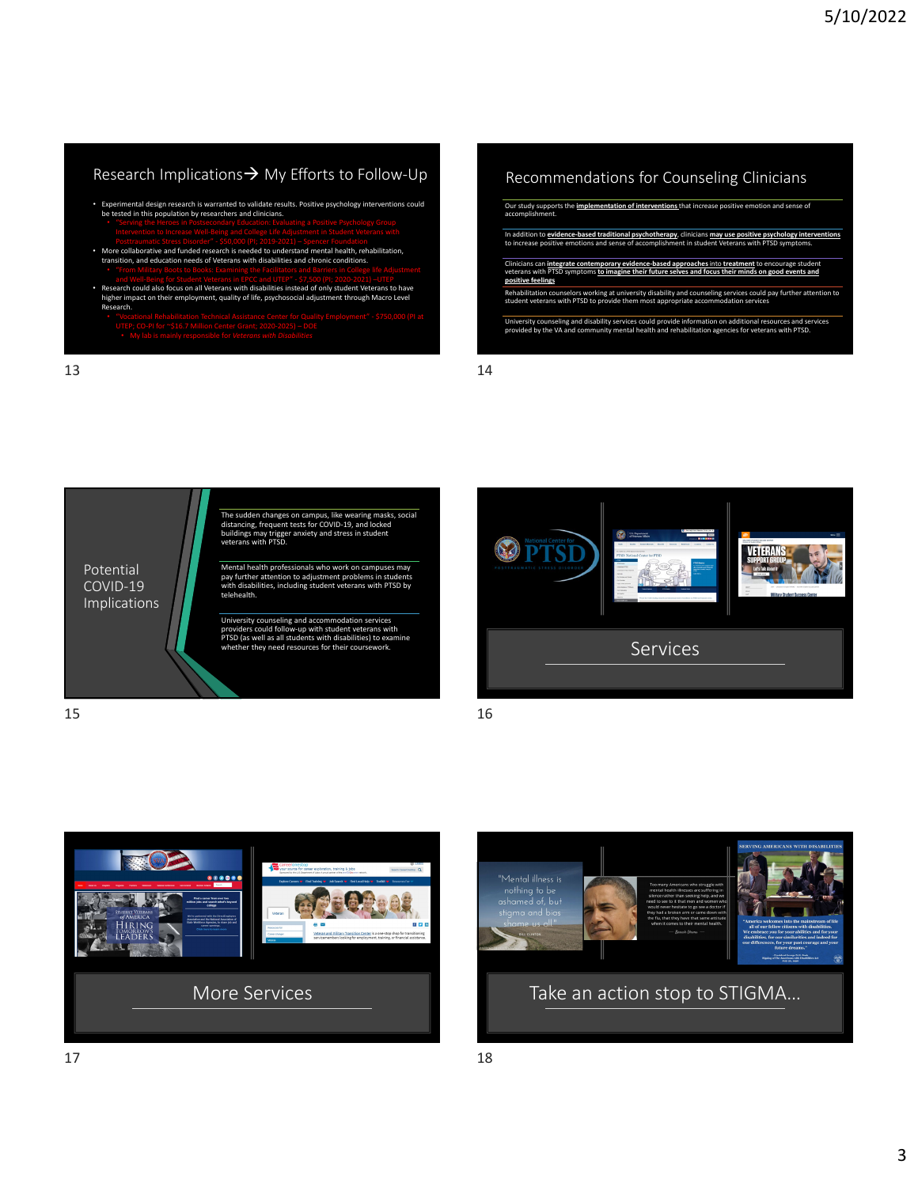# Research Implications → My Efforts to Follow-Up

- Experimental design research is warranted to validate results. Positive psychology interventions could<br>be tested in this population by researchers and clinicians.<br>"Serving the Heroes in Postsecondary Education: Evaluatin
- 
- Posttraumatic Stress Disorder" \$50,000 (PI: 2019-2021) Spencer Foundation<br>More collaborative and funded research is needed to understand mental health, rehabilitation,<br>transition, and education needs of Veterans with d
- and Well-Being for Student Veterans in EPCC and UTEP" \$7,500 (PI; 2020-2021) –UTEP<br>Research could also focus on all Veterans with disabilities instead of only student Veterans to have have have<br>higher impact on their emp Research.
- 

 $13$  and  $14$ 

Recommendations for Counseling Clinicians

| Our study supports the implementation of interventions that increase positive emotion and sense of<br>accomplishment.                                                                                                           |
|---------------------------------------------------------------------------------------------------------------------------------------------------------------------------------------------------------------------------------|
| In addition to evidence-based traditional psychotherapy, clinicians may use positive psychology interventions<br>to increase positive emotions and sense of accomplishment in student Veterans with PTSD symptoms.              |
| Clinicians can integrate contemporary evidence-based approaches into treatment to encourage student<br>veterans with PTSD symptoms to imagine their future selves and focus their minds on good events and<br>positive feelings |
| Rehabilitation counselors working at university disability and counseling services could pay further attention to<br>student veterans with PTSD to provide them most appropriate accommodation services                         |
| University counseling and disability services could provide information on additional resources and services<br>provided by the VA and community mental health and rehabilitation agencies for veterans with PTSD.              |